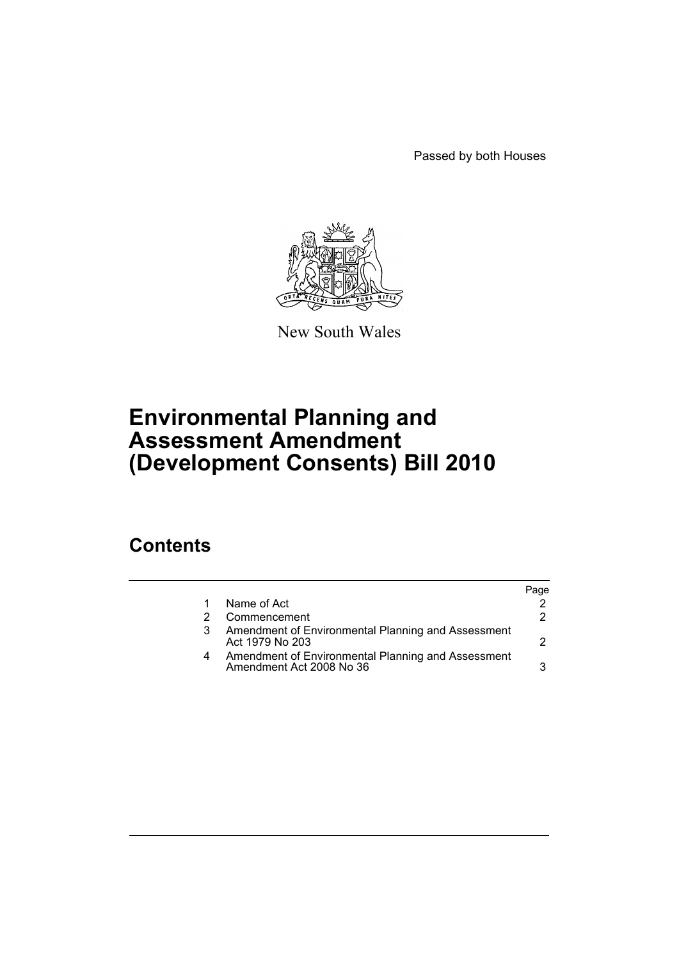Passed by both Houses



New South Wales

# **Environmental Planning and Assessment Amendment (Development Consents) Bill 2010**

## **Contents**

|   |                                                                                | aae? |
|---|--------------------------------------------------------------------------------|------|
|   | Name of Act                                                                    |      |
|   | Commencement                                                                   | 2.   |
|   | Amendment of Environmental Planning and Assessment<br>Act 1979 No 203          |      |
| 4 | Amendment of Environmental Planning and Assessment<br>Amendment Act 2008 No 36 | 3    |
|   |                                                                                |      |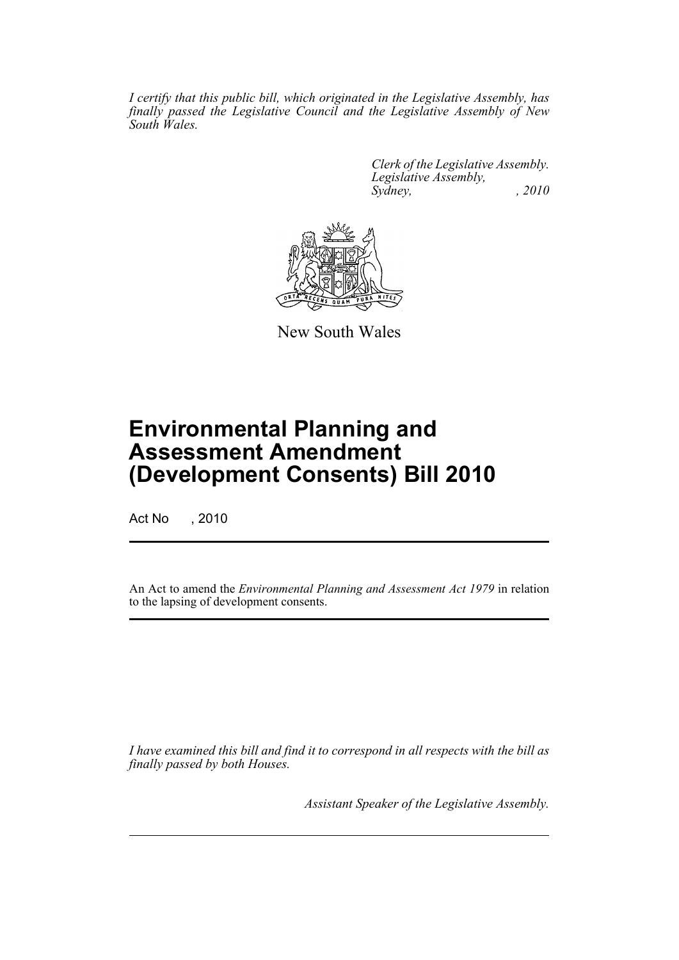*I certify that this public bill, which originated in the Legislative Assembly, has finally passed the Legislative Council and the Legislative Assembly of New South Wales.*

> *Clerk of the Legislative Assembly. Legislative Assembly, Sydney, , 2010*



New South Wales

# **Environmental Planning and Assessment Amendment (Development Consents) Bill 2010**

Act No , 2010

An Act to amend the *Environmental Planning and Assessment Act 1979* in relation to the lapsing of development consents.

*I have examined this bill and find it to correspond in all respects with the bill as finally passed by both Houses.*

*Assistant Speaker of the Legislative Assembly.*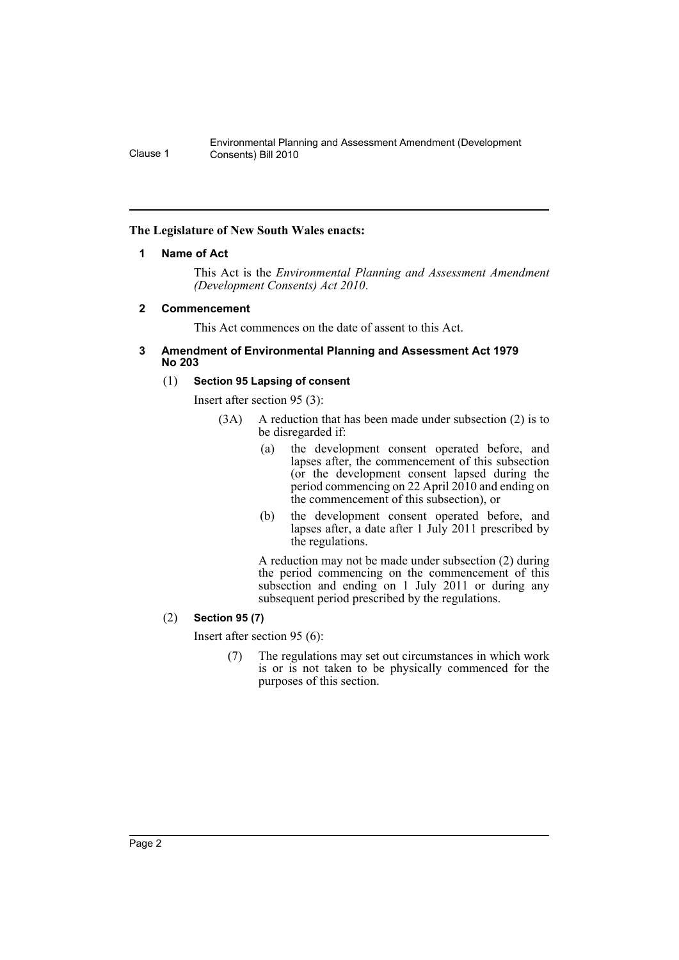### <span id="page-2-0"></span>**The Legislature of New South Wales enacts:**

#### **1 Name of Act**

This Act is the *Environmental Planning and Assessment Amendment (Development Consents) Act 2010*.

#### <span id="page-2-1"></span>**2 Commencement**

This Act commences on the date of assent to this Act.

#### <span id="page-2-2"></span>**3 Amendment of Environmental Planning and Assessment Act 1979 No 203**

#### (1) **Section 95 Lapsing of consent**

Insert after section 95 (3):

- (3A) A reduction that has been made under subsection (2) is to be disregarded if:
	- (a) the development consent operated before, and lapses after, the commencement of this subsection (or the development consent lapsed during the period commencing on 22 April 2010 and ending on the commencement of this subsection), or
	- (b) the development consent operated before, and lapses after, a date after 1 July 2011 prescribed by the regulations.

A reduction may not be made under subsection (2) during the period commencing on the commencement of this subsection and ending on 1 July 2011 or during any subsequent period prescribed by the regulations.

### (2) **Section 95 (7)**

Insert after section 95 (6):

(7) The regulations may set out circumstances in which work is or is not taken to be physically commenced for the purposes of this section.